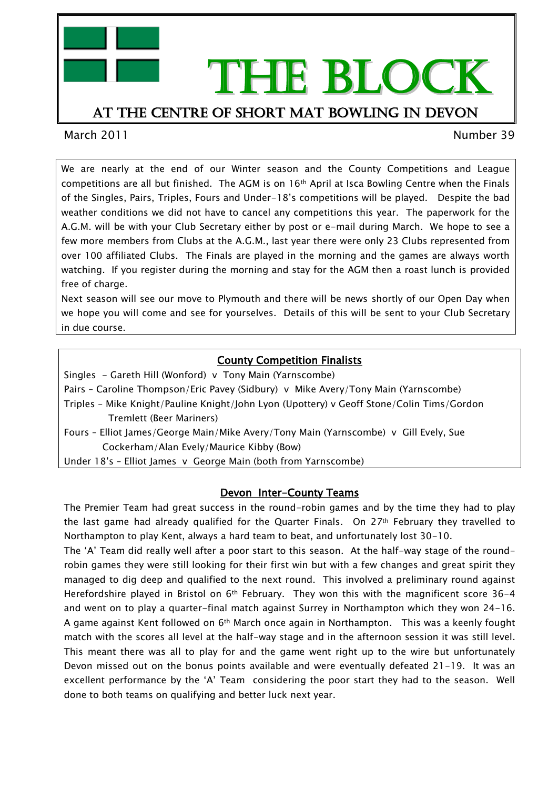

# THE BLOCK

### At the centre of short mat bowling in devon

March 2011 Number 39

We are nearly at the end of our Winter season and the County Competitions and League competitions are all but finished. The AGM is on  $16<sup>th</sup>$  April at Isca Bowling Centre when the Finals of the Singles, Pairs, Triples, Fours and Under-18's competitions will be played. Despite the bad weather conditions we did not have to cancel any competitions this year. The paperwork for the A.G.M. will be with your Club Secretary either by post or e-mail during March. We hope to see a few more members from Clubs at the A.G.M., last year there were only 23 Clubs represented from over 100 affiliated Clubs. The Finals are played in the morning and the games are always worth watching. If you register during the morning and stay for the AGM then a roast lunch is provided free of charge.

Next season will see our move to Plymouth and there will be news shortly of our Open Day when we hope you will come and see for yourselves. Details of this will be sent to your Club Secretary in due course.

#### County Competition Finalists

Singles - Gareth Hill (Wonford) v Tony Main (Yarnscombe)

Pairs – Caroline Thompson/Eric Pavey (Sidbury) v Mike Avery/Tony Main (Yarnscombe)

- Triples Mike Knight/Pauline Knight/John Lyon (Upottery) v Geoff Stone/Colin Tims/Gordon Tremlett (Beer Mariners)
- Fours Elliot James/George Main/Mike Avery/Tony Main (Yarnscombe) v Gill Evely, Sue Cockerham/Alan Evely/Maurice Kibby (Bow)

Under 18's – Elliot James v George Main (both from Yarnscombe)

#### Devon Inter-County Teams

The Premier Team had great success in the round-robin games and by the time they had to play the last game had already qualified for the Quarter Finals. On  $27<sup>th</sup>$  February they travelled to Northampton to play Kent, always a hard team to beat, and unfortunately lost 30-10.

The 'A' Team did really well after a poor start to this season. At the half-way stage of the roundrobin games they were still looking for their first win but with a few changes and great spirit they managed to dig deep and qualified to the next round. This involved a preliminary round against Herefordshire played in Bristol on  $6<sup>th</sup>$  February. They won this with the magnificent score 36-4 and went on to play a quarter-final match against Surrey in Northampton which they won 24-16. A game against Kent followed on 6th March once again in Northampton. This was a keenly fought match with the scores all level at the half-way stage and in the afternoon session it was still level. This meant there was all to play for and the game went right up to the wire but unfortunately Devon missed out on the bonus points available and were eventually defeated 21-19. It was an excellent performance by the 'A' Team considering the poor start they had to the season. Well done to both teams on qualifying and better luck next year.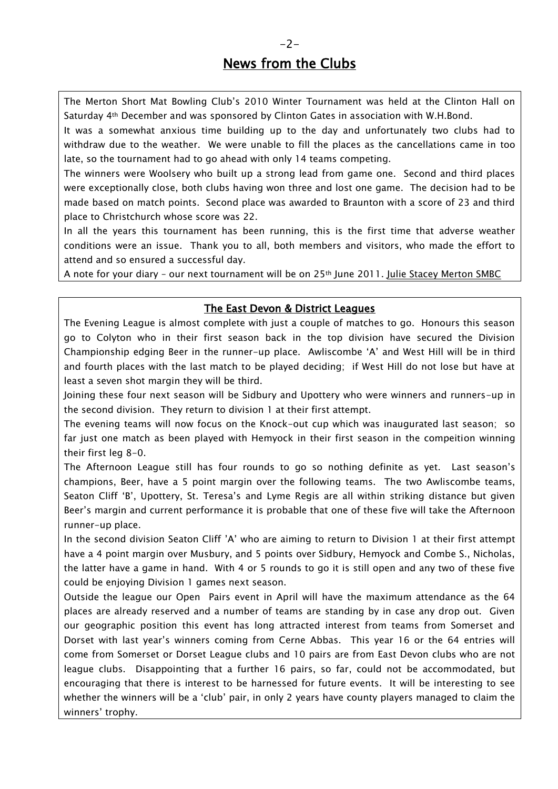## News from the Clubs

The Merton Short Mat Bowling Club's 2010 Winter Tournament was held at the Clinton Hall on Saturday 4th December and was sponsored by Clinton Gates in association with W.H.Bond.

It was a somewhat anxious time building up to the day and unfortunately two clubs had to withdraw due to the weather. We were unable to fill the places as the cancellations came in too late, so the tournament had to go ahead with only 14 teams competing.

The winners were Woolsery who built up a strong lead from game one. Second and third places were exceptionally close, both clubs having won three and lost one game. The decision had to be made based on match points. Second place was awarded to Braunton with a score of 23 and third place to Christchurch whose score was 22.

In all the years this tournament has been running, this is the first time that adverse weather conditions were an issue. Thank you to all, both members and visitors, who made the effort to attend and so ensured a successful day.

A note for your diary – our next tournament will be on 25th June 2011. Julie Stacey Merton SMBC

#### The East Devon & District Leagues

The Evening League is almost complete with just a couple of matches to go. Honours this season go to Colyton who in their first season back in the top division have secured the Division Championship edging Beer in the runner-up place. Awliscombe 'A' and West Hill will be in third and fourth places with the last match to be played deciding; if West Hill do not lose but have at least a seven shot margin they will be third.

Joining these four next season will be Sidbury and Upottery who were winners and runners-up in the second division. They return to division 1 at their first attempt.

The evening teams will now focus on the Knock-out cup which was inaugurated last season; so far just one match as been played with Hemyock in their first season in the compeition winning their first leg 8-0.

The Afternoon League still has four rounds to go so nothing definite as yet. Last season's champions, Beer, have a 5 point margin over the following teams. The two Awliscombe teams, Seaton Cliff 'B', Upottery, St. Teresa's and Lyme Regis are all within striking distance but given Beer's margin and current performance it is probable that one of these five will take the Afternoon runner-up place.

In the second division Seaton Cliff 'A' who are aiming to return to Division 1 at their first attempt have a 4 point margin over Musbury, and 5 points over Sidbury, Hemyock and Combe S., Nicholas, the latter have a game in hand. With 4 or 5 rounds to go it is still open and any two of these five could be enjoying Division 1 games next season.

Outside the league our Open Pairs event in April will have the maximum attendance as the 64 places are already reserved and a number of teams are standing by in case any drop out. Given our geographic position this event has long attracted interest from teams from Somerset and Dorset with last year's winners coming from Cerne Abbas. This year 16 or the 64 entries will come from Somerset or Dorset League clubs and 10 pairs are from East Devon clubs who are not league clubs. Disappointing that a further 16 pairs, so far, could not be accommodated, but encouraging that there is interest to be harnessed for future events. It will be interesting to see whether the winners will be a 'club' pair, in only 2 years have county players managed to claim the winners' trophy.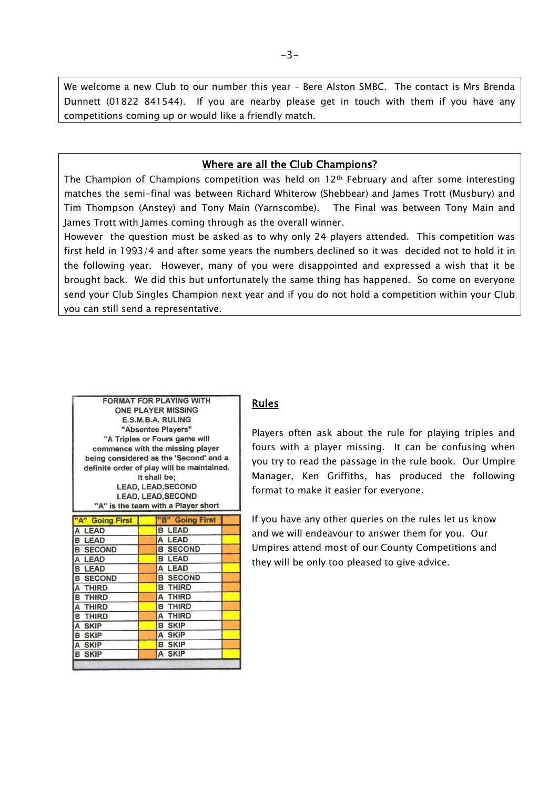We welcome a new Club to our number this year – Bere Alston SMBC. The contact is Mrs Brenda Dunnett (01822 841544). If you are nearby please get in touch with them if you have any competitions coming up or would like a friendly match.

#### Where are all the Club Champions?

The Champion of Champions competition was held on 12<sup>th</sup> February and after some interesting matches the semi-final was between Richard Whiterow (Shebbear) and James Trott (Musbury) and Tim Thompson (Anstey) and Tony Main (Yarnscombe). The Final was between Tony Main and James Trott with James coming through as the overall winner.

However the question must be asked as to why only 24 players attended. This competition was first held in 1993/4 and after some years the numbers declined so it was decided not to hold it in the following year. However, many of you were disappointed and expressed a wish that it be brought back. We did this but unfortunately the same thing has happened. So come on everyone send your Club Singles Champion next year and if you do not hold a competition within your Club you can still send a representative.

| <b>FORMAT FOR PLAYING WITH</b>             |                    |  |
|--------------------------------------------|--------------------|--|
| <b>ONE PLAYER MISSING</b>                  |                    |  |
| E.S.M.B.A. RULING                          |                    |  |
| "Absentee Players"                         |                    |  |
| "A Triples or Fours game will              |                    |  |
| commence with the missing player           |                    |  |
| being considered as the 'Second' and a     |                    |  |
| definite order of play will be maintained. |                    |  |
| It shall be:                               |                    |  |
| <b>LEAD, LEAD, SECOND</b>                  |                    |  |
| <b>LEAD, LEAD, SECOND</b>                  |                    |  |
| "A" is the team with a Player short        |                    |  |
|                                            |                    |  |
| "A" Going First                            | <b>Going First</b> |  |
| A LEAD                                     | LEAD<br>B          |  |
| <b>B LEAD</b>                              | <b>LEAD</b><br>A   |  |
| <b>B SECOND</b>                            | <b>B SECOND</b>    |  |
| A I FAD                                    | <b>B LEAD</b>      |  |

A LEAD

**B THIRD** 

A THIRD

**B THIRD** A THIRD

**B SKIP** 

A SKIP **B SKIP** 

A SKIP

**B SECOND** 

**B LEAD** 

A THIRD

**B THIRD** A THIRD

**B THIRD** 

A SKIP **B SKIP** 

A SKIP

**B SKIP** 

**B SECOND** 

#### Rules

Players often ask about the rule for playing triples and fours with a player missing. It can be confusing when you try to read the passage in the rule book. Our Umpire Manager, Ken Griffiths, has produced the following format to make it easier for everyone.

If you have any other queries on the rules let us know and we will endeavour to answer them for you. Our Umpires attend most of our County Competitions and they will be only too pleased to give advice.